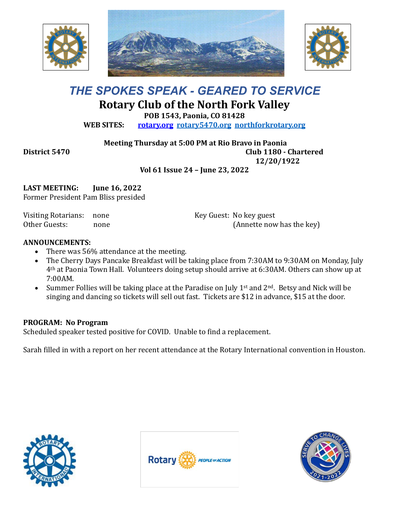





## *THE SPOKES SPEAK - GEARED TO SERVICE* **Rotary Club of the North Fork Valley**

**POB 1543, Paonia, CO 81428**

**WEB SITES: [rotary.org](http://www.rotary.org/) [rotary5470.org](http://rotary5470.org/) [northforkrotary.org](http://www.northforkrotary.org/)**

**Meeting Thursday at 5:00 PM at Rio Bravo in Paonia**

**District 5470 Club 1180 - Chartered 12/20/1922**

**Vol 61 Issue 24 – June 23, 2022**

**LAST MEETING: June 16, 2022** Former President Pam Bliss presided

Visiting Rotarians: none Other Guests: none Key Guest: No key guest (Annette now has the key)

## **ANNOUNCEMENTS:**

- There was 56% attendance at the meeting.
- The Cherry Days Pancake Breakfast will be taking place from 7:30AM to 9:30AM on Monday, July 4th at Paonia Town Hall. Volunteers doing setup should arrive at 6:30AM. Others can show up at 7:00AM.
- Summer Follies will be taking place at the Paradise on July 1st and  $2<sup>nd</sup>$ . Betsy and Nick will be singing and dancing so tickets will sell out fast. Tickets are \$12 in advance, \$15 at the door.

## **PROGRAM: No Program**

Scheduled speaker tested positive for COVID. Unable to find a replacement.

Sarah filled in with a report on her recent attendance at the Rotary International convention in Houston.